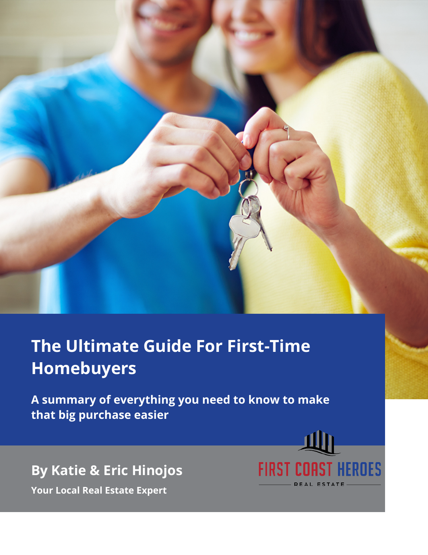

# **The Ultimate Guide For First-Time Homebuyers**

**A summary of everything you need to know to make that big purchase easier**



**By Katie & Eric Hinojos**

**Your Local Real Estate Expert**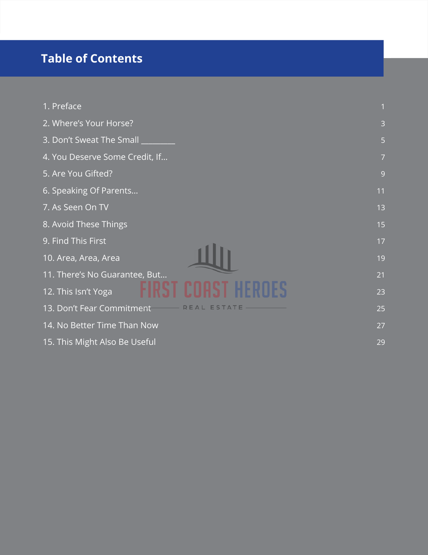# **Table of Contents**

| 1. Preface                        |                |
|-----------------------------------|----------------|
| 2. Where's Your Horse?            | 3              |
| 3. Don't Sweat The Small          | 5              |
| 4. You Deserve Some Credit, If    | $\overline{7}$ |
| 5. Are You Gifted?                | 9              |
| 6. Speaking Of Parents            | 11             |
| 7. As Seen On TV                  | 13             |
| 8. Avoid These Things             | 15             |
| 9. Find This First                | 17             |
| 10. Area, Area, Area              | 19             |
| 11. There's No Guarantee, But     | 21             |
| 12. This Isn't Yoga               | 23             |
| 13. Don't Fear Commitment<br>ESTA | 25             |
| 14. No Better Time Than Now       | 27             |
| 15. This Might Also Be Useful     | 29             |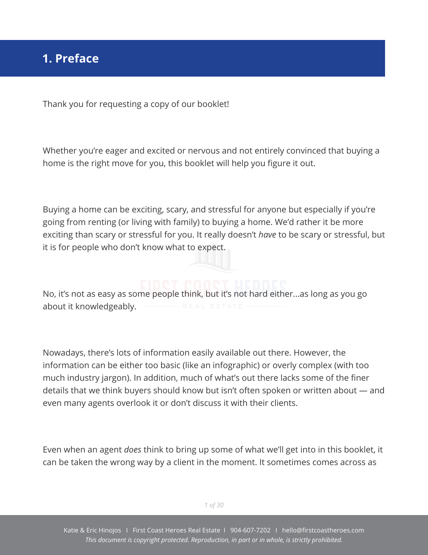<span id="page-2-0"></span>Thank you for requesting a copy of our booklet!

Whether you're eager and excited or nervous and not entirely convinced that buying a home is the right move for you, this booklet will help you figure it out.

Buying a home can be exciting, scary, and stressful for anyone but especially if you're going from renting (or living with family) to buying a home. We'd rather it be more exciting than scary or stressful for you. It really doesn't *have* to be scary or stressful, but it is for people who don't know what to expect.

No, it's not as easy as some people think, but it's not hard either...as long as you go about it knowledgeably.

Nowadays, there's lots of information easily available out there. However, the information can be either too basic (like an infographic) or overly complex (with too much industry jargon). In addition, much of what's out there lacks some of the finer details that we think buyers should know but isn't often spoken or written about — and even many agents overlook it or don't discuss it with their clients.

Even when an agent *does* think to bring up some of what we'll get into in this booklet, it can be taken the wrong way by a client in the moment. It sometimes comes across as

*1 of 30*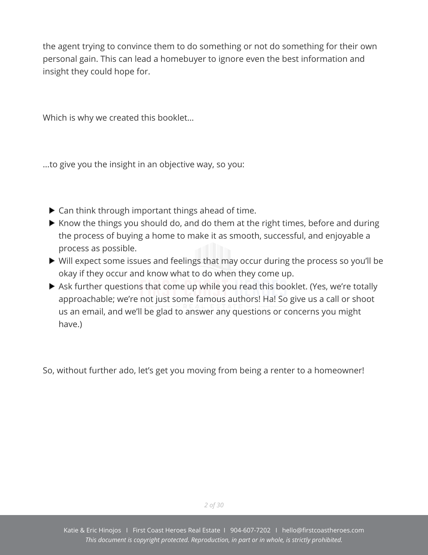the agent trying to convince them to do something or not do something for their own personal gain. This can lead a homebuyer to ignore even the best information and insight they could hope for.

Which is why we created this booklet…

...to give you the insight in an objective way, so you:

- ▶ Can think through important things ahead of time.
- $\blacktriangleright$  Know the things you should do, and do them at the right times, before and during the process of buying a home to make it as smooth, successful, and enjoyable a process as possible.
- Will expect some issues and feelings that may occur during the process so you'll be okay if they occur and know what to do when they come up.
- Ask further questions that come up while you read this booklet. (Yes, we're totally approachable; we're not just some famous authors! Ha! So give us a call or shoot us an email, and we'll be glad to answer any questions or concerns you might have.)

So, without further ado, let's get you moving from being a renter to a homeowner!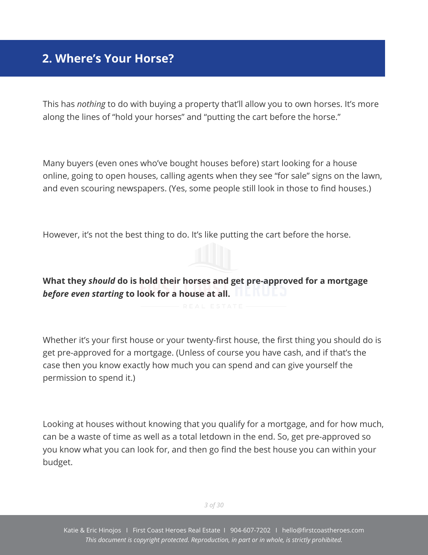## <span id="page-4-0"></span>**2. Where's Your Horse?**

This has *nothing* to do with buying a property that'll allow you to own horses. It's more along the lines of "hold your horses" and "putting the cart before the horse."

Many buyers (even ones who've bought houses before) start looking for a house online, going to open houses, calling agents when they see "for sale" signs on the lawn, and even scouring newspapers. (Yes, some people still look in those to find houses.)

However, it's not the best thing to do. It's like putting the cart before the horse.

**What they** *should* **do is hold their horses and get pre-approved for a mortgage** *before even starting* **to look for a house at all.**

Whether it's your first house or your twenty-first house, the first thing you should do is get pre-approved for a mortgage. (Unless of course you have cash, and if that's the case then you know exactly how much you can spend and can give yourself the permission to spend it.)

Looking at houses without knowing that you qualify for a mortgage, and for how much, can be a waste of time as well as a total letdown in the end. So, get pre-approved so you know what you can look for, and then go find the best house you can within your budget.

*3 of 30*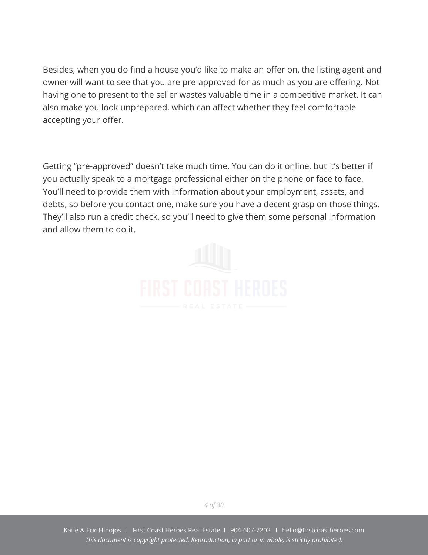Besides, when you do find a house you'd like to make an offer on, the listing agent and owner will want to see that you are pre-approved for as much as you are offering. Not having one to present to the seller wastes valuable time in a competitive market. It can also make you look unprepared, which can affect whether they feel comfortable accepting your offer.

Getting "pre-approved" doesn't take much time. You can do it online, but it's better if you actually speak to a mortgage professional either on the phone or face to face. You'll need to provide them with information about your employment, assets, and debts, so before you contact one, make sure you have a decent grasp on those things. They'll also run a credit check, so you'll need to give them some personal information and allow them to do it.



*4 of 30*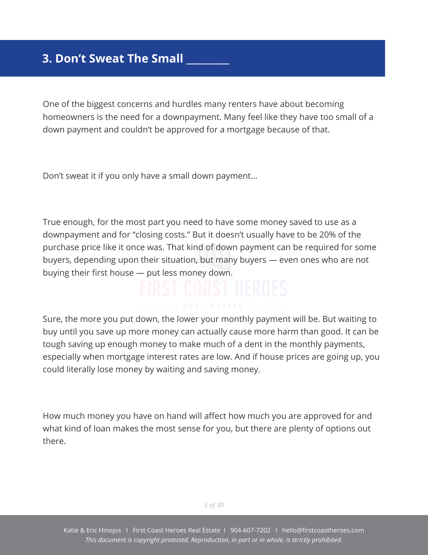# <span id="page-6-0"></span>**3. Don't Sweat The Small \_\_\_\_\_\_\_\_\_**

One of the biggest concerns and hurdles many renters have about becoming homeowners is the need for a downpayment. Many feel like they have too small of a down payment and couldn't be approved for a mortgage because of that.

Don't sweat it if you only have a small down payment...

True enough, for the most part you need to have some money saved to use as a downpayment and for "closing costs." But it doesn't usually have to be 20% of the purchase price like it once was. That kind of down payment can be required for some buyers, depending upon their situation, but many buyers — even ones who are not buying their first house — put less money down.

Sure, the more you put down, the lower your monthly payment will be. But waiting to buy until you save up more money can actually cause more harm than good. It can be tough saving up enough money to make much of a dent in the monthly payments, especially when mortgage interest rates are low. And if house prices are going up, you could literally lose money by waiting and saving money.

How much money you have on hand will affect how much you are approved for and what kind of loan makes the most sense for you, but there are plenty of options out there.

*5 of 30*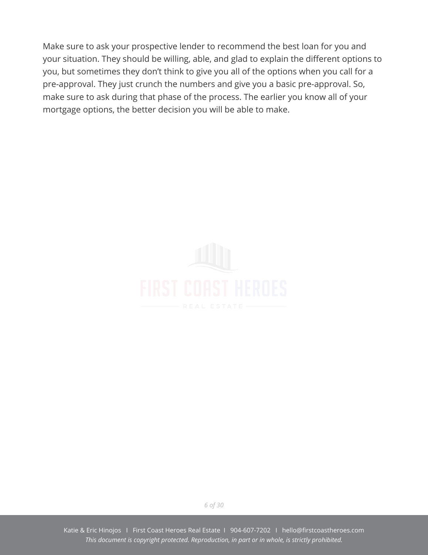Make sure to ask your prospective lender to recommend the best loan for you and your situation. They should be willing, able, and glad to explain the different options to you, but sometimes they don't think to give you all of the options when you call for a pre-approval. They just crunch the numbers and give you a basic pre-approval. So, make sure to ask during that phase of the process. The earlier you know all of your mortgage options, the better decision you will be able to make.



*6 of 30*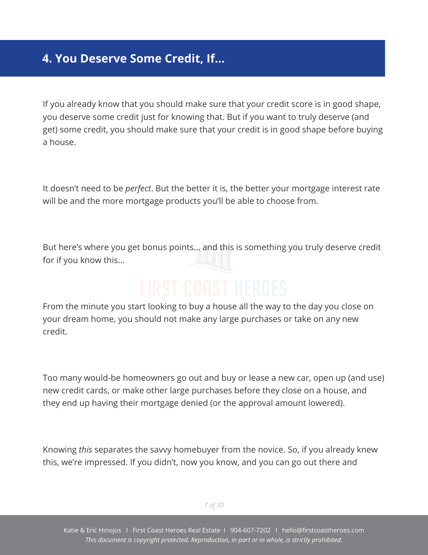# <span id="page-8-0"></span>**4. You Deserve Some Credit, If…**

If you already know that you should make sure that your credit score is in good shape, you deserve some credit just for knowing that. But if you want to truly deserve (and get) some credit, you should make sure that your credit is in good shape before buying a house.

It doesn't need to be *perfect*. But the better it is, the better your mortgage interest rate will be and the more mortgage products you'll be able to choose from.

But here's where you get bonus points… and this is something you truly deserve credit for if you know this...

From the minute you start looking to buy a house all the way to the day you close on your dream home, you should not make any large purchases or take on any new credit.

Too many would-be homeowners go out and buy or lease a new car, open up (and use) new credit cards, or make other large purchases before they close on a house, and they end up having their mortgage denied (or the approval amount lowered).

Knowing *this* separates the savvy homebuyer from the novice. So, if you already knew this, we're impressed. If you didn't, now you know, and you can go out there and

*7 of 30*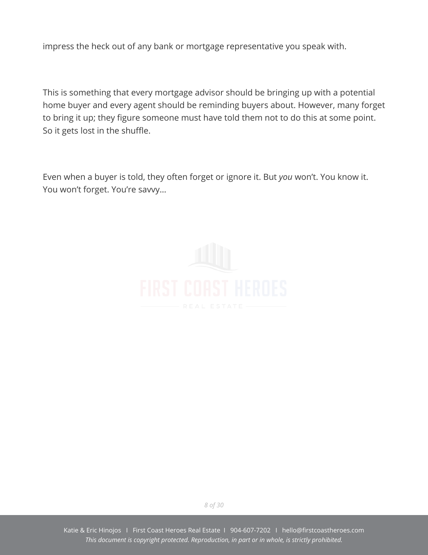impress the heck out of any bank or mortgage representative you speak with.

This is something that every mortgage advisor should be bringing up with a potential home buyer and every agent should be reminding buyers about. However, many forget to bring it up; they figure someone must have told them not to do this at some point. So it gets lost in the shuffle.

Even when a buyer is told, they often forget or ignore it. But *you* won't. You know it. You won't forget. You're savvy…



*8 of 30*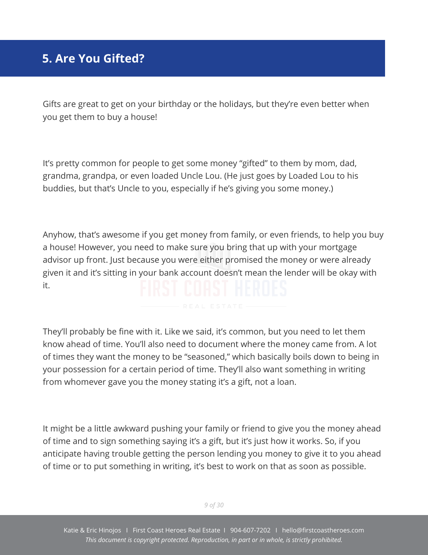# <span id="page-10-0"></span>**5. Are You Gifted?**

Gifts are great to get on your birthday or the holidays, but they're even better when you get them to buy a house!

It's pretty common for people to get some money "gifted" to them by mom, dad, grandma, grandpa, or even loaded Uncle Lou. (He just goes by Loaded Lou to his buddies, but that's Uncle to you, especially if he's giving you some money.)

Anyhow, that's awesome if you get money from family, or even friends, to help you buy a house! However, you need to make sure you bring that up with your mortgage advisor up front. Just because you were either promised the money or were already given it and it's sitting in your bank account doesn't mean the lender will be okay with it.

They'll probably be fine with it. Like we said, it's common, but you need to let them know ahead of time. You'll also need to document where the money came from. A lot of times they want the money to be "seasoned," which basically boils down to being in your possession for a certain period of time. They'll also want something in writing from whomever gave you the money stating it's a gift, not a loan.

It might be a little awkward pushing your family or friend to give you the money ahead of time and to sign something saying it's a gift, but it's just how it works. So, if you anticipate having trouble getting the person lending you money to give it to you ahead of time or to put something in writing, it's best to work on that as soon as possible.

*9 of 30*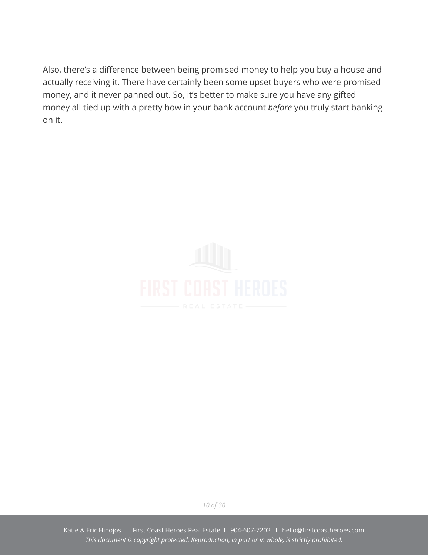Also, there's a difference between being promised money to help you buy a house and actually receiving it. There have certainly been some upset buyers who were promised money, and it never panned out. So, it's better to make sure you have any gifted money all tied up with a pretty bow in your bank account *before* you truly start banking on it.



*10 of 30*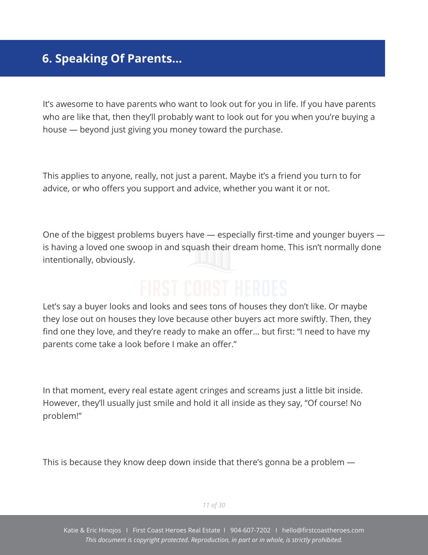# <span id="page-12-0"></span>**6. Speaking Of Parents…**

It's awesome to have parents who want to look out for you in life. If you have parents who are like that, then they'll probably want to look out for you when you're buying a house — beyond just giving you money toward the purchase.

This applies to anyone, really, not just a parent. Maybe it's a friend you turn to for advice, or who offers you support and advice, whether you want it or not.

One of the biggest problems buyers have — especially first-time and younger buyers is having a loved one swoop in and squash their dream home. This isn't normally done intentionally, obviously.

Let's say a buyer looks and looks and sees tons of houses they don't like. Or maybe they lose out on houses they love because other buyers act more swiftly. Then, they find one they love, and they're ready to make an offer… but first: "I need to have my parents come take a look before I make an offer."

In that moment, every real estate agent cringes and screams just a little bit inside. However, they'll usually just smile and hold it all inside as they say, "Of course! No problem!"

This is because they know deep down inside that there's gonna be a problem —

*11 of 30*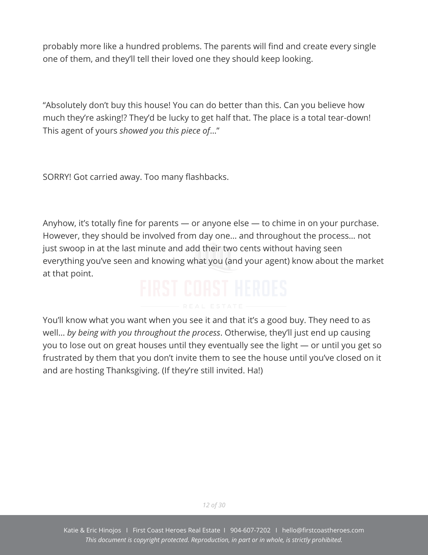probably more like a hundred problems. The parents will find and create every single one of them, and they'll tell their loved one they should keep looking.

"Absolutely don't buy this house! You can do better than this. Can you believe how much they're asking!? They'd be lucky to get half that. The place is a total tear-down! This agent of yours *showed you this piece of*…"

SORRY! Got carried away. Too many flashbacks.

Anyhow, it's totally fine for parents — or anyone else — to chime in on your purchase. However, they should be involved from day one... and throughout the process… not just swoop in at the last minute and add their two cents without having seen everything you've seen and knowing what you (and your agent) know about the market at that point.

You'll know what you want when you see it and that it's a good buy. They need to as well… *by being with you throughout the process*. Otherwise, they'll just end up causing you to lose out on great houses until they eventually see the light — or until you get so frustrated by them that you don't invite them to see the house until you've closed on it and are hosting Thanksgiving. (If they're still invited. Ha!)

*12 of 30*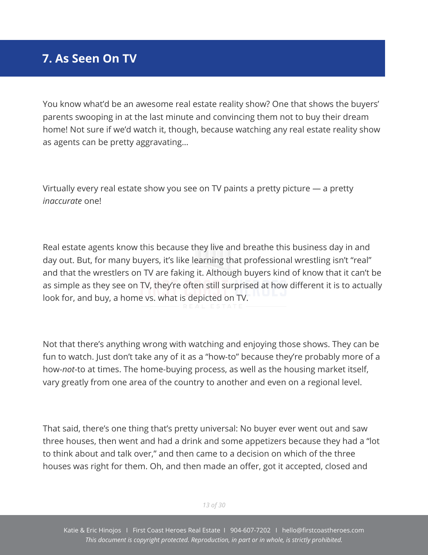# <span id="page-14-0"></span>**7. As Seen On TV**

You know what'd be an awesome real estate reality show? One that shows the buyers' parents swooping in at the last minute and convincing them not to buy their dream home! Not sure if we'd watch it, though, because watching any real estate reality show as agents can be pretty aggravating…

Virtually every real estate show you see on TV paints a pretty picture — a pretty *inaccurate* one!

Real estate agents know this because they live and breathe this business day in and day out. But, for many buyers, it's like learning that professional wrestling isn't "real" and that the wrestlers on TV are faking it. Although buyers kind of know that it can't be as simple as they see on TV, they're often still surprised at how different it is to actually look for, and buy, a home vs. what is depicted on TV.

Not that there's anything wrong with watching and enjoying those shows. They can be fun to watch. Just don't take any of it as a "how-to" because they're probably more of a how-*not*-to at times. The home-buying process, as well as the housing market itself, vary greatly from one area of the country to another and even on a regional level.

That said, there's one thing that's pretty universal: No buyer ever went out and saw three houses, then went and had a drink and some appetizers because they had a "lot to think about and talk over," and then came to a decision on which of the three houses was right for them. Oh, and then made an offer, got it accepted, closed and

*13 of 30*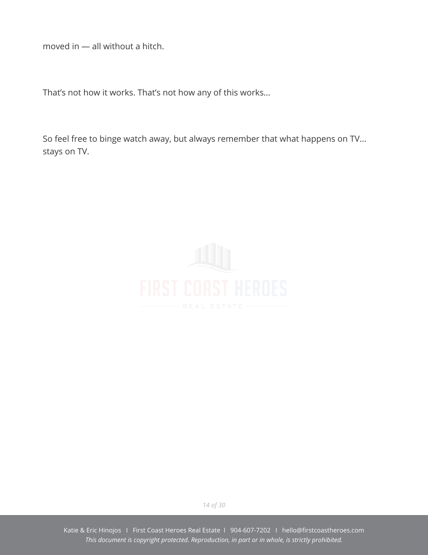moved in — all without a hitch.

That's not how it works. That's not how any of this works...

So feel free to binge watch away, but always remember that what happens on TV... stays on TV.



*14 of 30*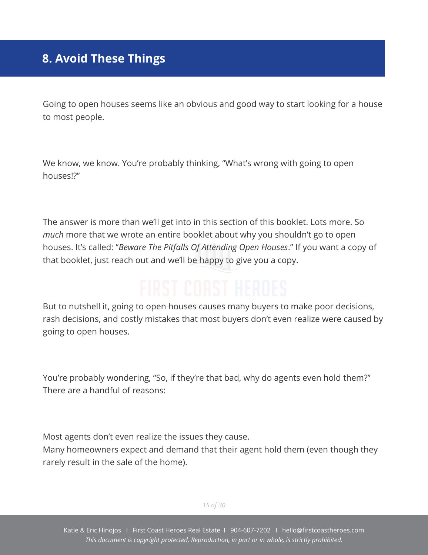# <span id="page-16-0"></span>**8. Avoid These Things**

Going to open houses seems like an obvious and good way to start looking for a house to most people.

We know, we know. You're probably thinking, "What's wrong with going to open houses!?"

The answer is more than we'll get into in this section of this booklet. Lots more. So *much* more that we wrote an entire booklet about why you shouldn't go to open houses. It's called: "*Beware The Pitfalls Of Attending Open Houses*." If you want a copy of that booklet, just reach out and we'll be happy to give you a copy.

But to nutshell it, going to open houses causes many buyers to make poor decisions, rash decisions, and costly mistakes that most buyers don't even realize were caused by going to open houses.

You're probably wondering, "So, if they're that bad, why do agents even hold them?" There are a handful of reasons:

Most agents don't even realize the issues they cause.

Many homeowners expect and demand that their agent hold them (even though they rarely result in the sale of the home).

*15 of 30*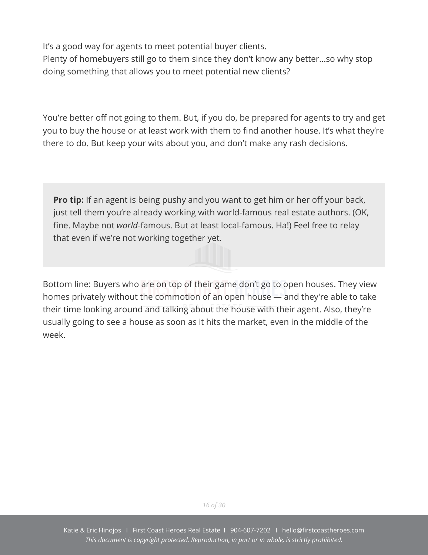It's a good way for agents to meet potential buyer clients.

Plenty of homebuyers still go to them since they don't know any better...so why stop doing something that allows you to meet potential new clients?

You're better off not going to them. But, if you do, be prepared for agents to try and get you to buy the house or at least work with them to find another house. It's what they're there to do. But keep your wits about you, and don't make any rash decisions.

**Pro tip:** If an agent is being pushy and you want to get him or her off your back, just tell them you're already working with world-famous real estate authors. (OK, fine. Maybe not *world*-famous. But at least local-famous. Ha!) Feel free to relay that even if we're not working together yet.

Bottom line: Buyers who are on top of their game don't go to open houses. They view homes privately without the commotion of an open house — and they're able to take their time looking around and talking about the house with their agent. Also, they're usually going to see a house as soon as it hits the market, even in the middle of the week.

*16 of 30*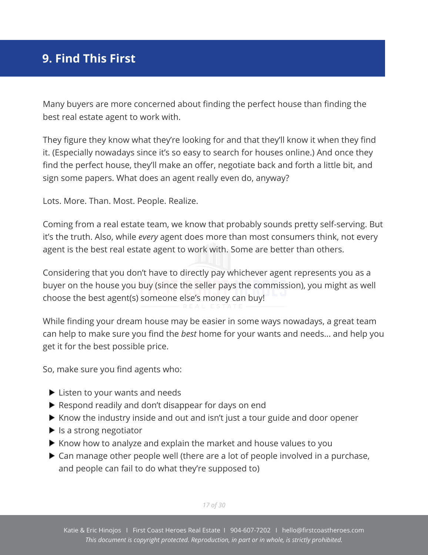# <span id="page-18-0"></span>**9. Find This First**

Many buyers are more concerned about finding the perfect house than finding the best real estate agent to work with.

They figure they know what they're looking for and that they'll know it when they find it. (Especially nowadays since it's so easy to search for houses online.) And once they find the perfect house, they'll make an offer, negotiate back and forth a little bit, and sign some papers. What does an agent really even do, anyway?

Lots. More. Than. Most. People. Realize.

Coming from a real estate team, we know that probably sounds pretty self-serving. But it's the truth. Also, while *every* agent does more than most consumers think, not every agent is the best real estate agent to work with. Some are better than others.

Considering that you don't have to directly pay whichever agent represents you as a buyer on the house you buy (since the seller pays the commission), you might as well choose the best agent(s) someone else's money can buy!

While finding your dream house may be easier in some ways nowadays, a great team can help to make sure you find the *best* home for your wants and needs... and help you get it for the best possible price.

So, make sure you find agents who:

- ► Listen to your wants and needs
- Respond readily and don't disappear for days on end
- $\blacktriangleright$  Know the industry inside and out and isn't just a tour guide and door opener
- $\blacktriangleright$  Is a strong negotiator
- $\blacktriangleright$  Know how to analyze and explain the market and house values to you
- ▶ Can manage other people well (there are a lot of people involved in a purchase, and people can fail to do what they're supposed to)

*17 of 30*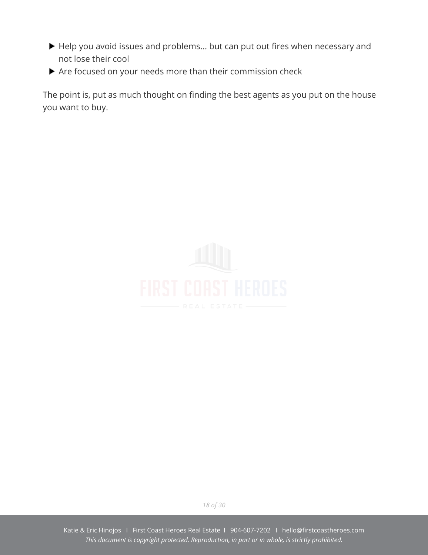- Help you avoid issues and problems... but can put out fires when necessary and not lose their cool
- Are focused on your needs more than their commission check

The point is, put as much thought on finding the best agents as you put on the house you want to buy.



*18 of 30*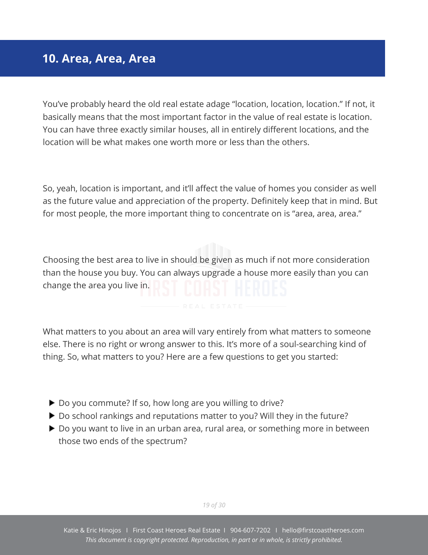### <span id="page-20-0"></span>**10. Area, Area, Area**

You've probably heard the old real estate adage "location, location, location." If not, it basically means that the most important factor in the value of real estate is location. You can have three exactly similar houses, all in entirely different locations, and the location will be what makes one worth more or less than the others.

So, yeah, location is important, and it'll affect the value of homes you consider as well as the future value and appreciation of the property. Definitely keep that in mind. But for most people, the more important thing to concentrate on is "area, area, area."

Choosing the best area to live in should be given as much if not more consideration than the house you buy. You can always upgrade a house more easily than you can change the area you live in.

What matters to you about an area will vary entirely from what matters to someone else. There is no right or wrong answer to this. It's more of a soul-searching kind of thing. So, what matters to you? Here are a few questions to get you started:

- ▶ Do you commute? If so, how long are you willing to drive?
- ▶ Do school rankings and reputations matter to you? Will they in the future?
- ▶ Do you want to live in an urban area, rural area, or something more in between those two ends of the spectrum?

*19 of 30*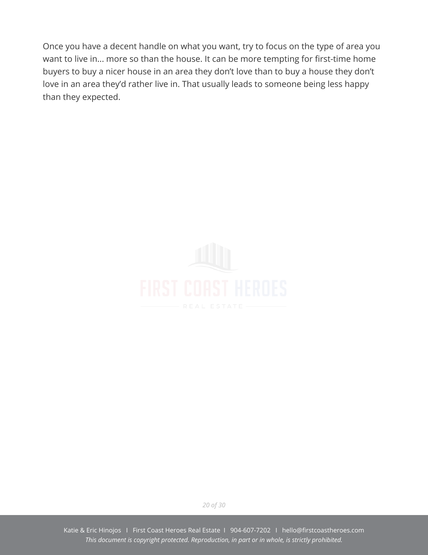Once you have a decent handle on what you want, try to focus on the type of area you want to live in... more so than the house. It can be more tempting for first-time home buyers to buy a nicer house in an area they don't love than to buy a house they don't love in an area they'd rather live in. That usually leads to someone being less happy than they expected.



*20 of 30*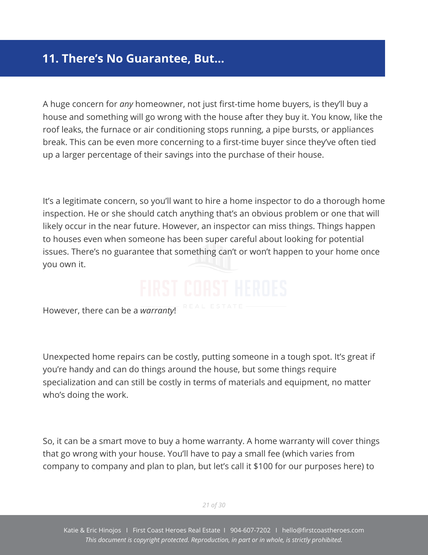# <span id="page-22-0"></span>**11. There's No Guarantee, But…**

A huge concern for *any* homeowner, not just first-time home buyers, is they'll buy a house and something will go wrong with the house after they buy it. You know, like the roof leaks, the furnace or air conditioning stops running, a pipe bursts, or appliances break. This can be even more concerning to a first-time buyer since they've often tied up a larger percentage of their savings into the purchase of their house.

It's a legitimate concern, so you'll want to hire a home inspector to do a thorough home inspection. He or she should catch anything that's an obvious problem or one that will likely occur in the near future. However, an inspector can miss things. Things happen to houses even when someone has been super careful about looking for potential issues. There's no guarantee that something can't or won't happen to your home once you own it.

However, there can be a *warranty*!

Unexpected home repairs can be costly, putting someone in a tough spot. It's great if you're handy and can do things around the house, but some things require specialization and can still be costly in terms of materials and equipment, no matter who's doing the work.

So, it can be a smart move to buy a home warranty. A home warranty will cover things that go wrong with your house. You'll have to pay a small fee (which varies from company to company and plan to plan, but let's call it \$100 for our purposes here) to

*21 of 30*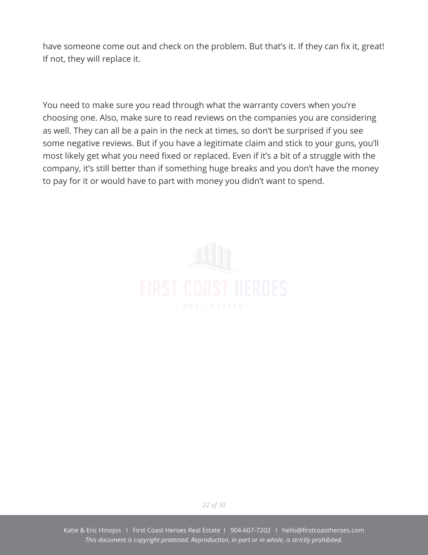have someone come out and check on the problem. But that's it. If they can fix it, great! If not, they will replace it.

You need to make sure you read through what the warranty covers when you're choosing one. Also, make sure to read reviews on the companies you are considering as well. They can all be a pain in the neck at times, so don't be surprised if you see some negative reviews. But if you have a legitimate claim and stick to your guns, you'll most likely get what you need fixed or replaced. Even if it's a bit of a struggle with the company, it's still better than if something huge breaks and you don't have the money to pay for it or would have to part with money you didn't want to spend.



*22 of 30*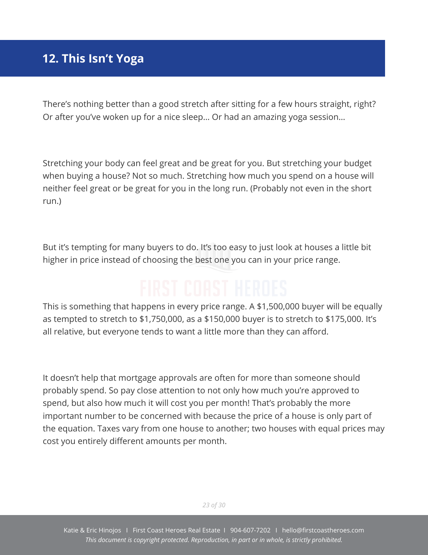# <span id="page-24-0"></span>**12. This Isn't Yoga**

There's nothing better than a good stretch after sitting for a few hours straight, right? Or after you've woken up for a nice sleep… Or had an amazing yoga session…

Stretching your body can feel great and be great for you. But stretching your budget when buying a house? Not so much. Stretching how much you spend on a house will neither feel great or be great for you in the long run. (Probably not even in the short run.)

But it's tempting for many buyers to do. It's too easy to just look at houses a little bit higher in price instead of choosing the best one you can in your price range.

This is something that happens in every price range. A \$1,500,000 buyer will be equally as tempted to stretch to \$1,750,000, as a \$150,000 buyer is to stretch to \$175,000. It's all relative, but everyone tends to want a little more than they can afford.

It doesn't help that mortgage approvals are often for more than someone should probably spend. So pay close attention to not only how much you're approved to spend, but also how much it will cost you per month! That's probably the more important number to be concerned with because the price of a house is only part of the equation. Taxes vary from one house to another; two houses with equal prices may cost you entirely different amounts per month.

*23 of 30*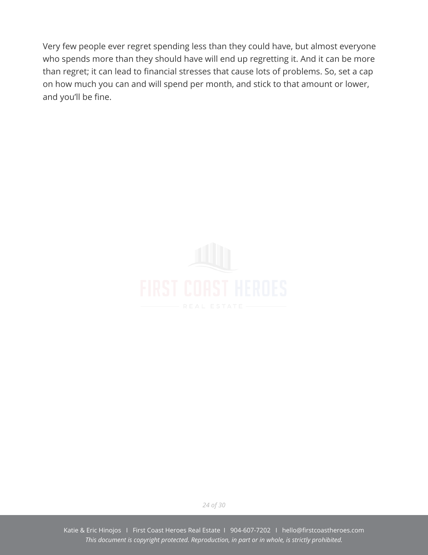Very few people ever regret spending less than they could have, but almost everyone who spends more than they should have will end up regretting it. And it can be more than regret; it can lead to financial stresses that cause lots of problems. So, set a cap on how much you can and will spend per month, and stick to that amount or lower, and you'll be fine.



*24 of 30*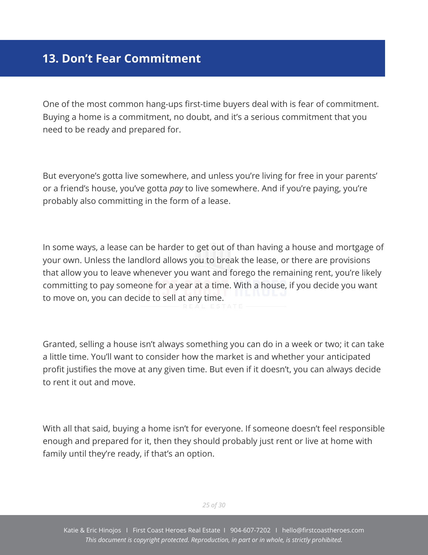# <span id="page-26-0"></span>**13. Don't Fear Commitment**

One of the most common hang-ups first-time buyers deal with is fear of commitment. Buying a home is a commitment, no doubt, and it's a serious commitment that you need to be ready and prepared for.

But everyone's gotta live somewhere, and unless you're living for free in your parents' or a friend's house, you've gotta *pay* to live somewhere. And if you're paying, you're probably also committing in the form of a lease.

In some ways, a lease can be harder to get out of than having a house and mortgage of your own. Unless the landlord allows you to break the lease, or there are provisions that allow you to leave whenever you want and forego the remaining rent, you're likely committing to pay someone for a year at a time. With a house, if you decide you want to move on, you can decide to sell at any time.

Granted, selling a house isn't always something you can do in a week or two; it can take a little time. You'll want to consider how the market is and whether your anticipated profit justifies the move at any given time. But even if it doesn't, you can always decide to rent it out and move.

With all that said, buying a home isn't for everyone. If someone doesn't feel responsible enough and prepared for it, then they should probably just rent or live at home with family until they're ready, if that's an option.

*25 of 30*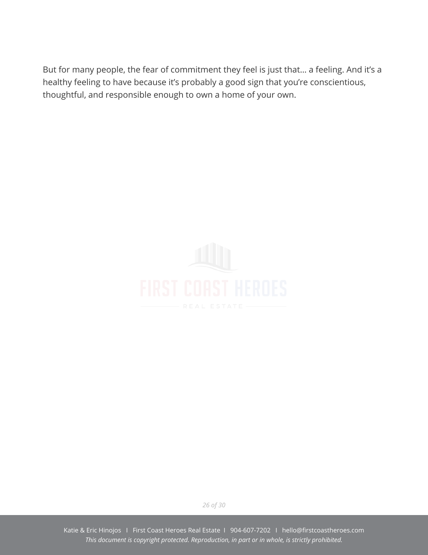But for many people, the fear of commitment they feel is just that… a feeling. And it's a healthy feeling to have because it's probably a good sign that you're conscientious, thoughtful, and responsible enough to own a home of your own.



*26 of 30*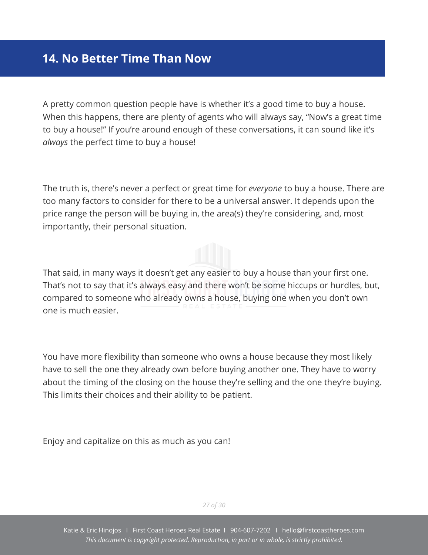### <span id="page-28-0"></span>**14. No Better Time Than Now**

A pretty common question people have is whether it's a good time to buy a house. When this happens, there are plenty of agents who will always say, "Now's a great time to buy a house!" If you're around enough of these conversations, it can sound like it's *always* the perfect time to buy a house!

The truth is, there's never a perfect or great time for *everyone* to buy a house. There are too many factors to consider for there to be a universal answer. It depends upon the price range the person will be buying in, the area(s) they're considering, and, most importantly, their personal situation.

That said, in many ways it doesn't get any easier to buy a house than your first one. That's not to say that it's always easy and there won't be some hiccups or hurdles, but, compared to someone who already owns a house, buying one when you don't own one is much easier.

You have more flexibility than someone who owns a house because they most likely have to sell the one they already own before buying another one. They have to worry about the timing of the closing on the house they're selling and the one they're buying. This limits their choices and their ability to be patient.

Enjoy and capitalize on this as much as you can!

*27 of 30*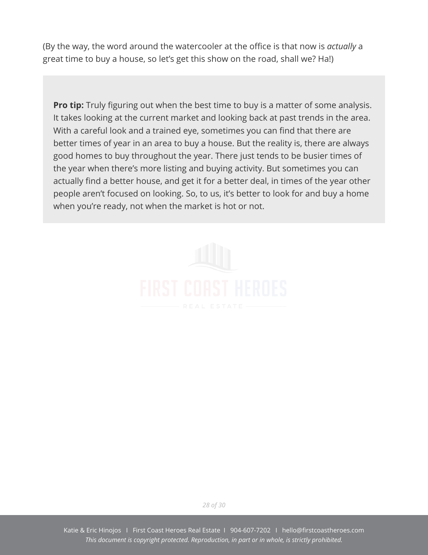(By the way, the word around the watercooler at the office is that now is *actually* a great time to buy a house, so let's get this show on the road, shall we? Ha!)

**Pro tip:** Truly figuring out when the best time to buy is a matter of some analysis. It takes looking at the current market and looking back at past trends in the area. With a careful look and a trained eye, sometimes you can find that there are better times of year in an area to buy a house. But the reality is, there are always good homes to buy throughout the year. There just tends to be busier times of the year when there's more listing and buying activity. But sometimes you can actually find a better house, and get it for a better deal, in times of the year other people aren't focused on looking. So, to us, it's better to look for and buy a home when you're ready, not when the market is hot or not.



*28 of 30*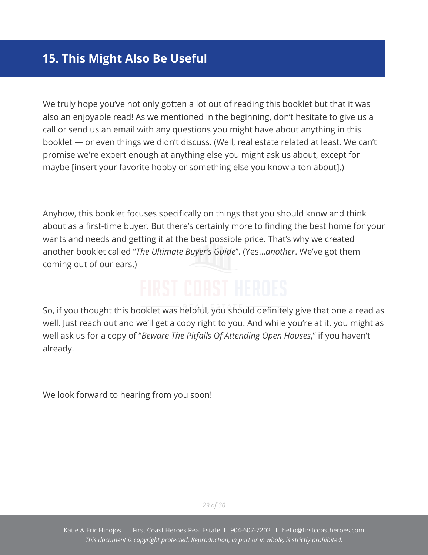# <span id="page-30-0"></span>**15. This Might Also Be Useful**

We truly hope you've not only gotten a lot out of reading this booklet but that it was also an enjoyable read! As we mentioned in the beginning, don't hesitate to give us a call or send us an email with any questions you might have about anything in this booklet — or even things we didn't discuss. (Well, real estate related at least. We can't promise we're expert enough at anything else you might ask us about, except for maybe [insert your favorite hobby or something else you know a ton about].)

Anyhow, this booklet focuses specifically on things that you should know and think about as a first-time buyer. But there's certainly more to finding the best home for your wants and needs and getting it at the best possible price. That's why we created another booklet called "*The Ultimate Buyer's Guide*". (Yes...*another*. We've got them coming out of our ears.)

So, if you thought this booklet was helpful, you should definitely give that one a read as well. Just reach out and we'll get a copy right to you. And while you're at it, you might as well ask us for a copy of "*Beware The Pitfalls Of Attending Open Houses*," if you haven't already.

We look forward to hearing from you soon!

*29 of 30*